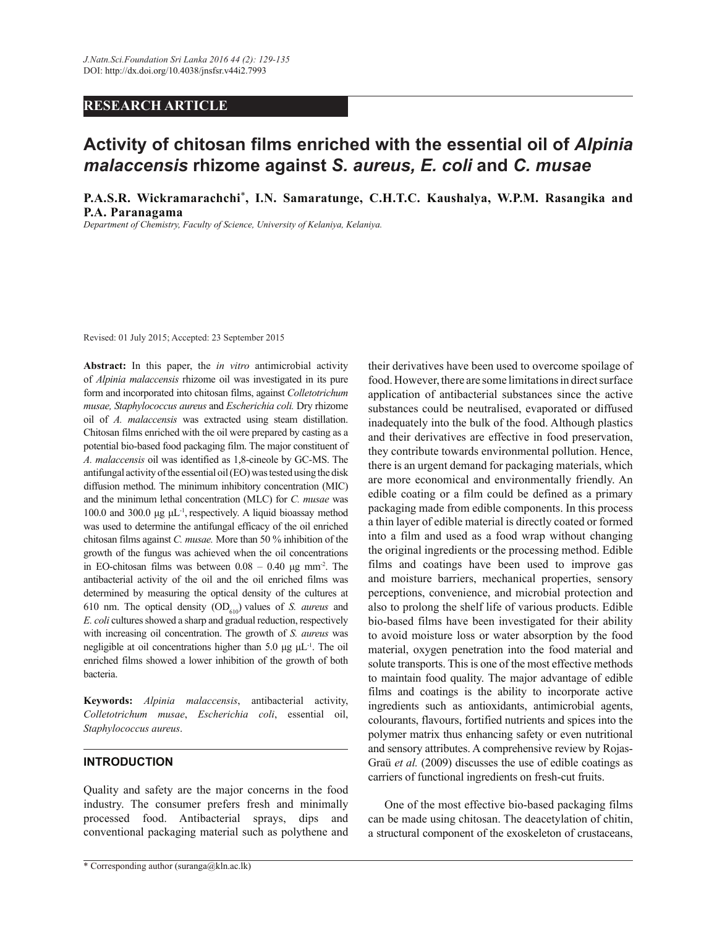## **RESEARCH ARTICLE**

# **Activity of chitosan films enriched with the essential oil of** *Alpinia malaccensis* **rhizome against** *S. aureus, E. coli* **and** *C. musae*

**P.A.S.R. Wickramarachchi**\***, I.N. Samaratunge, C.H.T.C. Kaushalya, W.P.M. Rasangika and P.A. Paranagama**

*Department of Chemistry, Faculty of Science, University of Kelaniya, Kelaniya.*

Revised: 01 July 2015; Accepted: 23 September 2015

**Abstract:** In this paper, the *in vitro* antimicrobial activity of *Alpinia malaccensis* rhizome oil was investigated in its pure form and incorporated into chitosan films, against *Colletotrichum musae, Staphylococcus aureus* and *Escherichia coli.* Dry rhizome oil of *A. malaccensis* was extracted using steam distillation. Chitosan films enriched with the oil were prepared by casting as a potential bio-based food packaging film. The major constituent of *A. malaccensis* oil was identified as 1,8-cineole by GC-MS. The antifungal activity of the essential oil (EO) was tested using the disk diffusion method. The minimum inhibitory concentration (MIC) and the minimum lethal concentration (MLC) for *C. musae* was 100.0 and 300.0 μg μL-1 , respectively. A liquid bioassay method was used to determine the antifungal efficacy of the oil enriched chitosan films against *C. musae.* More than 50 % inhibition of the growth of the fungus was achieved when the oil concentrations in EO-chitosan films was between  $0.08 - 0.40$  µg mm<sup>-2</sup>. The antibacterial activity of the oil and the oil enriched films was determined by measuring the optical density of the cultures at 610 nm. The optical density  $OD<sub>610</sub>$  values of *S. aureus* and *E. coli* cultures showed a sharp and gradual reduction, respectively with increasing oil concentration. The growth of *S. aureus* was negligible at oil concentrations higher than 5.0  $\mu$ g  $\mu$ L<sup>-1</sup>. The oil enriched films showed a lower inhibition of the growth of both bacteria.

**Keywords:** *Alpinia malaccensis*, antibacterial activity, *Colletotrichum musae*, *Escherichia coli*, essential oil, *Staphylococcus aureus*.

#### **INTRODUCTION**

Quality and safety are the major concerns in the food industry. The consumer prefers fresh and minimally processed food. Antibacterial sprays, dips and conventional packaging material such as polythene and their derivatives have been used to overcome spoilage of food. However, there are some limitations in direct surface application of antibacterial substances since the active substances could be neutralised, evaporated or diffused inadequately into the bulk of the food. Although plastics and their derivatives are effective in food preservation, they contribute towards environmental pollution. Hence, there is an urgent demand for packaging materials, which are more economical and environmentally friendly. An edible coating or a film could be defined as a primary packaging made from edible components. In this process a thin layer of edible material is directly coated or formed into a film and used as a food wrap without changing the original ingredients or the processing method. Edible films and coatings have been used to improve gas and moisture barriers, mechanical properties, sensory perceptions, convenience, and microbial protection and also to prolong the shelf life of various products. Edible bio-based films have been investigated for their ability to avoid moisture loss or water absorption by the food material, oxygen penetration into the food material and solute transports. This is one of the most effective methods to maintain food quality. The major advantage of edible films and coatings is the ability to incorporate active ingredients such as antioxidants, antimicrobial agents, colourants, flavours, fortified nutrients and spices into the polymer matrix thus enhancing safety or even nutritional and sensory attributes. A comprehensive review by Rojas-Graü *et al.* (2009) discusses the use of edible coatings as carriers of functional ingredients on fresh-cut fruits.

 One of the most effective bio-based packaging films can be made using chitosan. The deacetylation of chitin, a structural component of the exoskeleton of crustaceans,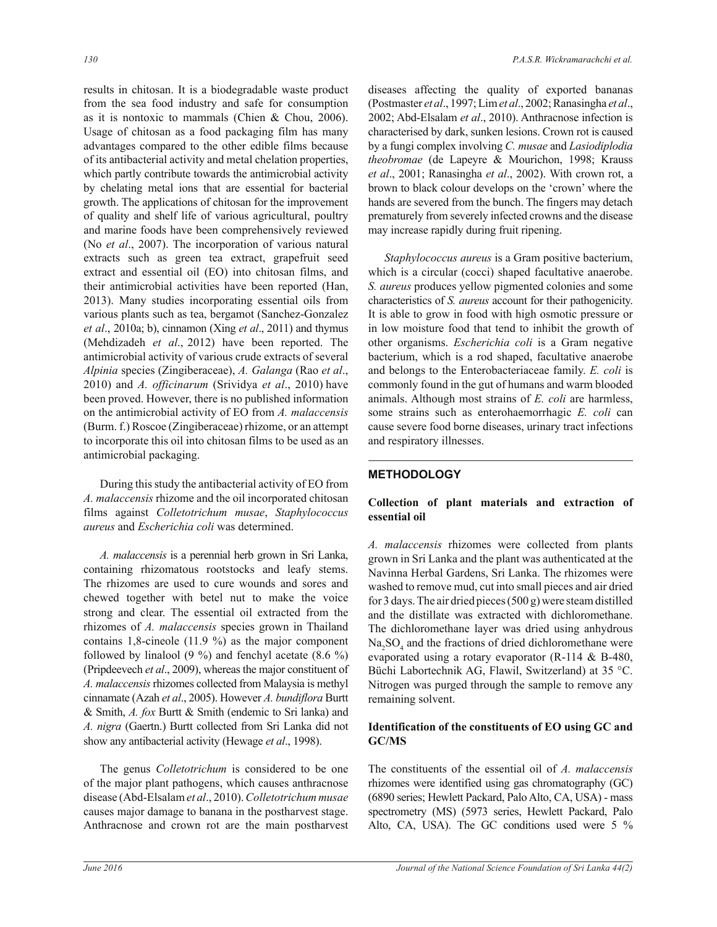results in chitosan. It is a biodegradable waste product from the sea food industry and safe for consumption as it is nontoxic to mammals (Chien & Chou, 2006). Usage of chitosan as a food packaging film has many advantages compared to the other edible films because of its antibacterial activity and metal chelation properties, which partly contribute towards the antimicrobial activity by chelating metal ions that are essential for bacterial growth. The applications of chitosan for the improvement of quality and shelf life of various agricultural, poultry and marine foods have been comprehensively reviewed (No *et al*., 2007). The incorporation of various natural extracts such as green tea extract, grapefruit seed extract and essential oil (EO) into chitosan films, and their antimicrobial activities have been reported (Han, 2013). Many studies incorporating essential oils from various plants such as tea, bergamot (Sanchez-Gonzalez *et al*., 2010a; b), cinnamon (Xing *et al*., 2011) and thymus (Mehdizadeh *et al*., 2012) have been reported. The antimicrobial activity of various crude extracts of several *Alpinia* species (Zingiberaceae), *A. Galanga* (Rao *et al*., 2010) and *A. officinarum* (Srividya *et al*., 2010) have been proved. However, there is no published information on the antimicrobial activity of EO from *A. malaccensis* (Burm. f.) Roscoe (Zingiberaceae) rhizome, or an attempt to incorporate this oil into chitosan films to be used as an antimicrobial packaging.

 During this study the antibacterial activity of EO from *A. malaccensis* rhizome and the oil incorporated chitosan films against *Colletotrichum musae*, *Staphylococcus aureus* and *Escherichia coli* was determined.

 *A. malaccensis* is a perennial herb grown in Sri Lanka, containing rhizomatous rootstocks and leafy stems. The rhizomes are used to cure wounds and sores and chewed together with betel nut to make the voice strong and clear. The essential oil extracted from the rhizomes of *A. malaccensis* species grown in Thailand contains 1,8-cineole (11.9 %) as the major component followed by linalool  $(9\%)$  and fenchyl acetate  $(8.6\%)$ (Pripdeevech *et al*., 2009), whereas the major constituent of *A. malaccensis* rhizomes collected from Malaysia is methyl cinnamate (Azah *et al*., 2005). However *A. bundiflora* Burtt & Smith, *A. fox* Burtt & Smith (endemic to Sri lanka) and *A. nigra* (Gaertn.) Burtt collected from Sri Lanka did not show any antibacterial activity (Hewage *et al*., 1998).

 The genus *Colletotrichum* is considered to be one of the major plant pathogens, which causes anthracnose disease (Abd-Elsalam *et al*., 2010). *Colletotrichum musae*  causes major damage to banana in the postharvest stage. Anthracnose and crown rot are the main postharvest diseases affecting the quality of exported bananas (Postmaster *et al*., 1997; Lim *et al*., 2002; Ranasingha *et al*., 2002; Abd-Elsalam *et al*., 2010). Anthracnose infection is characterised by dark, sunken lesions. Crown rot is caused by a fungi complex involving *C. musae* and *Lasiodiplodia theobromae* (de Lapeyre & Mourichon, 1998; Krauss *et al*., 2001; Ranasingha *et al*., 2002). With crown rot, a brown to black colour develops on the 'crown' where the hands are severed from the bunch. The fingers may detach prematurely from severely infected crowns and the disease may increase rapidly during fruit ripening.

 *Staphylococcus aureus* is a Gram positive bacterium, which is a circular (cocci) shaped facultative anaerobe. *S. aureus* produces yellow pigmented colonies and some characteristics of *S. aureus* account for their pathogenicity. It is able to grow in food with high osmotic pressure or in low moisture food that tend to inhibit the growth of other organisms. *Escherichia coli* is a Gram negative bacterium, which is a rod shaped, facultative anaerobe and belongs to the Enterobacteriaceae family. *E. coli* is commonly found in the gut of humans and warm blooded animals. Although most strains of *E. coli* are harmless, some strains such as enterohaemorrhagic *E. coli* can cause severe food borne diseases, urinary tract infections and respiratory illnesses.

## **METHODOLOGY**

### **Collection of plant materials and extraction of essential oil**

*A. malaccensis* rhizomes were collected from plants grown in Sri Lanka and the plant was authenticated at the Navinna Herbal Gardens, Sri Lanka. The rhizomes were washed to remove mud, cut into small pieces and air dried for 3 days. The air dried pieces (500 g) were steam distilled and the distillate was extracted with dichloromethane. The dichloromethane layer was dried using anhydrous  $Na<sub>2</sub>SO<sub>4</sub>$  and the fractions of dried dichloromethane were evaporated using a rotary evaporator (R-114 & B-480, Büchi Labortechnik AG, Flawil, Switzerland) at 35 °C. Nitrogen was purged through the sample to remove any remaining solvent.

### **Identification of the constituents of EO using GC and GC/MS**

The constituents of the essential oil of *A. malaccensis*  rhizomes were identified using gas chromatography (GC) (6890 series; Hewlett Packard, Palo Alto, CA, USA) - mass spectrometry (MS) (5973 series, Hewlett Packard, Palo Alto, CA, USA). The GC conditions used were 5 %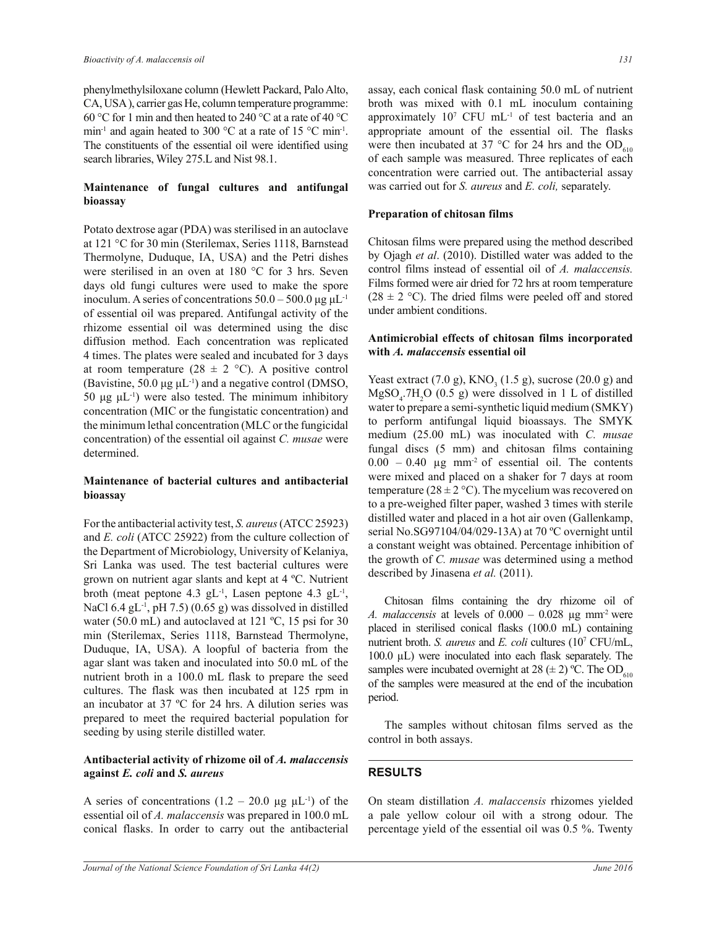phenylmethylsiloxane column (Hewlett Packard, Palo Alto, CA, USA ), carrier gas He, column temperature programme: 60 °C for 1 min and then heated to 240 °C at a rate of 40 °C min<sup>-1</sup> and again heated to 300 °C at a rate of 15 °C min<sup>-1</sup>. The constituents of the essential oil were identified using search libraries, Wiley 275.L and Nist 98.1.

### **Maintenance of fungal cultures and antifungal bioassay**

Potato dextrose agar (PDA) was sterilised in an autoclave at 121 °C for 30 min (Sterilemax, Series 1118, Barnstead Thermolyne, Duduque, IA, USA) and the Petri dishes were sterilised in an oven at 180 °C for 3 hrs. Seven days old fungi cultures were used to make the spore inoculum. A series of concentrations  $50.0 - 500.0 \,\mu g \,\mu L^{-1}$ of essential oil was prepared. Antifungal activity of the rhizome essential oil was determined using the disc diffusion method. Each concentration was replicated 4 times. The plates were sealed and incubated for 3 days at room temperature (28  $\pm$  2 °C). A positive control (Bavistine, 50.0  $\mu$ g  $\mu$ L<sup>-1</sup>) and a negative control (DMSO, 50 μg  $μL^{-1}$ ) were also tested. The minimum inhibitory concentration (MIC or the fungistatic concentration) and the minimum lethal concentration (MLC or the fungicidal concentration) of the essential oil against *C. musae* were determined.

#### **Maintenance of bacterial cultures and antibacterial bioassay**

For the antibacterial activity test, *S. aureus* (ATCC 25923) and *E. coli* (ATCC 25922) from the culture collection of the Department of Microbiology, University of Kelaniya, Sri Lanka was used. The test bacterial cultures were grown on nutrient agar slants and kept at 4 ºC. Nutrient broth (meat peptone 4.3  $gL^{-1}$ , Lasen peptone 4.3  $gL^{-1}$ , NaCl 6.4 gL<sup>-1</sup>, pH 7.5) (0.65 g) was dissolved in distilled water (50.0 mL) and autoclaved at 121 °C, 15 psi for 30 min (Sterilemax, Series 1118, Barnstead Thermolyne, Duduque, IA, USA). A loopful of bacteria from the agar slant was taken and inoculated into 50.0 mL of the nutrient broth in a 100.0 mL flask to prepare the seed cultures. The flask was then incubated at 125 rpm in an incubator at 37 ºC for 24 hrs. A dilution series was prepared to meet the required bacterial population for seeding by using sterile distilled water.

#### **Antibacterial activity of rhizome oil of** *A. malaccensis* **against** *E. coli* **and** *S. aureus*

A series of concentrations  $(1.2 - 20.0 \mu g \mu L^{-1})$  of the essential oil of *A. malaccensis* was prepared in 100.0 mL conical flasks. In order to carry out the antibacterial

assay, each conical flask containing 50.0 mL of nutrient broth was mixed with 0.1 mL inoculum containing approximately  $10^7$  CFU mL<sup>-1</sup> of test bacteria and an appropriate amount of the essential oil. The flasks were then incubated at 37 °C for 24 hrs and the  $OD<sub>610</sub>$ of each sample was measured. Three replicates of each concentration were carried out. The antibacterial assay was carried out for *S. aureus* and *E. coli,* separately.

#### **Preparation of chitosan films**

Chitosan films were prepared using the method described by Ojagh *et al*. (2010). Distilled water was added to the control films instead of essential oil of *A. malaccensis.* Films formed were air dried for 72 hrs at room temperature  $(28 \pm 2 \degree C)$ . The dried films were peeled off and stored under ambient conditions.

#### **Antimicrobial effects of chitosan films incorporated with** *A. malaccensis* **essential oil**

Yeast extract  $(7.0 \text{ g})$ , KNO<sub>3</sub>  $(1.5 \text{ g})$ , sucrose  $(20.0 \text{ g})$  and  $MgSO<sub>4</sub>$ .7H<sub>2</sub>O (0.5 g) were dissolved in 1 L of distilled water to prepare a semi-synthetic liquid medium (SMKY) to perform antifungal liquid bioassays. The SMYK medium (25.00 mL) was inoculated with *C. musae* fungal discs (5 mm) and chitosan films containing  $0.00 - 0.40$  µg mm<sup>-2</sup> of essential oil. The contents were mixed and placed on a shaker for 7 days at room temperature ( $28 \pm 2$  °C). The mycelium was recovered on to a pre-weighed filter paper, washed 3 times with sterile distilled water and placed in a hot air oven (Gallenkamp, serial No.SG97104/04/029-13A) at 70 ºC overnight until a constant weight was obtained. Percentage inhibition of the growth of *C. musae* was determined using a method described by Jinasena *et al.* (2011).

Chitosan films containing the dry rhizome oil of *A. malaccensis* at levels of  $0.000 - 0.028$  ug mm<sup>-2</sup> were placed in sterilised conical flasks (100.0 mL) containing nutrient broth. *S. aureus* and *E. coli* cultures (10<sup>7</sup> CFU/mL, 100.0 µL) were inoculated into each flask separately. The samples were incubated overnight at 28 ( $\pm$  2) °C. The OD<sub>610</sub> of the samples were measured at the end of the incubation period.

 The samples without chitosan films served as the control in both assays.

## **RESULTS**

On steam distillation *A. malaccensis* rhizomes yielded a pale yellow colour oil with a strong odour. The percentage yield of the essential oil was 0.5 %. Twenty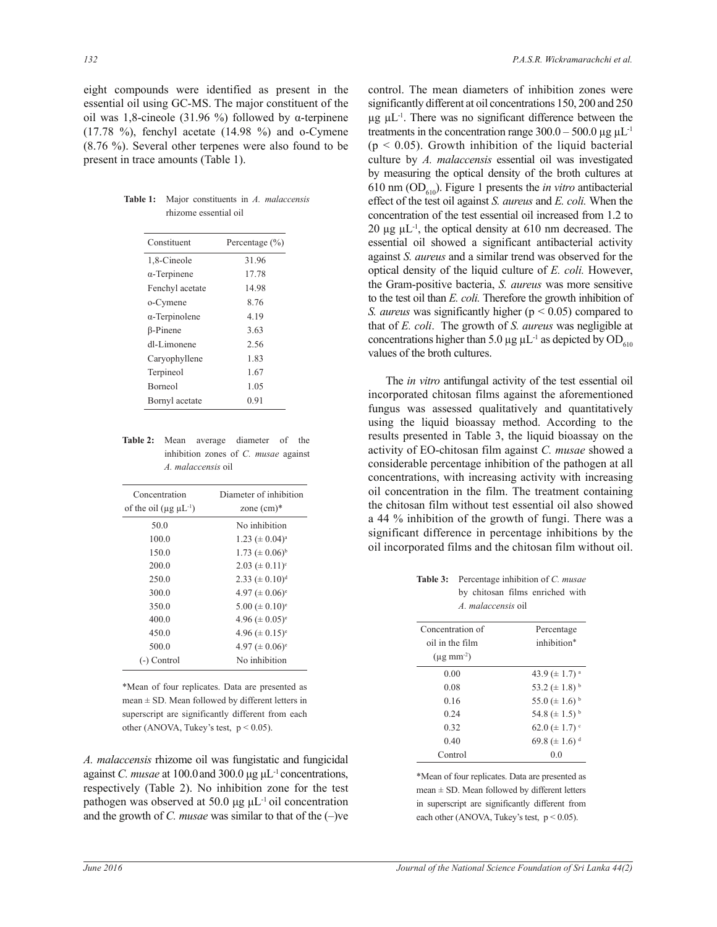eight compounds were identified as present in the essential oil using GC-MS. The major constituent of the oil was 1,8-cineole (31.96 %) followed by α-terpinene  $(17.78 \text{ %})$ , fenchyl acetate  $(14.98 \text{ %})$  and o-Cymene (8.76 %). Several other terpenes were also found to be present in trace amounts (Table 1).

| Constituent           | Percentage $(\% )$ |
|-----------------------|--------------------|
| 1,8-Cineole           | 31.96              |
| $\alpha$ -Terpinene   | 17.78              |
| Fenchyl acetate       | 14.98              |
| o-Cymene              | 8.76               |
| $\alpha$ -Terpinolene | 4.19               |
| $\beta$ -Pinene       | 3.63               |
| dl-Limonene           | 2.56               |
| Caryophyllene         | 1.83               |
| Terpineol             | 1.67               |
| Borneol               | 1.05               |
| Bornyl acetate        | 0.91               |

**Table 1:** Major constituents in *A. malaccensis* rhizome essential oil

| <b>Table 2:</b> Mean average diameter of the |                                      |  |  |  |  |  |
|----------------------------------------------|--------------------------------------|--|--|--|--|--|
|                                              | inhibition zones of C. musae against |  |  |  |  |  |
| A. malaccensis oil                           |                                      |  |  |  |  |  |

| Concentration                                | Diameter of inhibition          |
|----------------------------------------------|---------------------------------|
| of the oil ( $\mu$ g $\mu$ L <sup>-1</sup> ) | zone $(cm)*$                    |
| 50.0                                         | No inhibition                   |
| 100.0                                        | $1.23 \ (\pm 0.04)^a$           |
| 150.0                                        | $1.73 \ (\pm 0.06)^{b}$         |
| 200.0                                        | $2.03 \ (\pm 0.11)^c$           |
| 250.0                                        | 2.33 ( $\pm$ 0.10) <sup>d</sup> |
| 300.0                                        | $4.97 \ (\pm 0.06)^e$           |
| 350.0                                        | $5.00 \ (\pm 0.10)^e$           |
| 400.0                                        | $4.96 \ (\pm 0.05)^e$           |
| 450.0                                        | $4.96 \ (\pm 0.15)^e$           |
| 500.0                                        | $4.97 \ (\pm 0.06)^e$           |
| Control                                      | No inhibition                   |

\*Mean of four replicates. Data are presented as  $mean \pm SD$ . Mean followed by different letters in superscript are significantly different from each other (ANOVA, Tukey's test,  $p < 0.05$ ).

*A. malaccensis* rhizome oil was fungistatic and fungicidal against *C. musae* at 100.0and 300.0 μg μL-1 concentrations, respectively (Table 2). No inhibition zone for the test pathogen was observed at 50.0 μg  $\mu L^{-1}$  oil concentration and the growth of *C. musae* was similar to that of the (–)ve control. The mean diameters of inhibition zones were significantly different at oil concentrations 150, 200 and 250  $\mu$ g  $\mu$ L<sup>-1</sup>. There was no significant difference between the treatments in the concentration range  $300.0 - 500.0 \,\mu g \,\mu L^{-1}$  $(p < 0.05)$ . Growth inhibition of the liquid bacterial culture by *A. malaccensis* essential oil was investigated by measuring the optical density of the broth cultures at 610 nm ( $OD<sub>610</sub>$ ). Figure 1 presents the *in vitro* antibacterial effect of the test oil against *S. aureus* and *E. coli.* When the concentration of the test essential oil increased from 1.2 to 20  $\mu$ g  $\mu$ L<sup>-1</sup>, the optical density at 610 nm decreased. The essential oil showed a significant antibacterial activity against *S. aureus* and a similar trend was observed for the optical density of the liquid culture of *E. coli.* However, the Gram-positive bacteria, *S. aureus* was more sensitive to the test oil than *E. coli.* Therefore the growth inhibition of *S. aureus* was significantly higher (p < 0.05) compared to that of *E. coli*. The growth of *S. aureus* was negligible at concentrations higher than 5.0  $\mu$ g  $\mu$ L<sup>-1</sup> as depicted by OD<sub>610</sub> values of the broth cultures.

 The *in vitro* antifungal activity of the test essential oil incorporated chitosan films against the aforementioned fungus was assessed qualitatively and quantitatively using the liquid bioassay method. According to the results presented in Table 3, the liquid bioassay on the activity of EO-chitosan film against *C. musae* showed a considerable percentage inhibition of the pathogen at all concentrations, with increasing activity with increasing oil concentration in the film. The treatment containing the chitosan film without test essential oil also showed a 44 % inhibition of the growth of fungi. There was a significant difference in percentage inhibitions by the oil incorporated films and the chitosan film without oil.

| <b>Table 3:</b> Percentage inhibition of C. musae |
|---------------------------------------------------|
| by chitosan films enriched with                   |
| A. malaccensis oil                                |

| Concentration of            | Percentage                     |
|-----------------------------|--------------------------------|
| oil in the film             | inhibition*                    |
| $(\mu$ g mm <sup>-2</sup> ) |                                |
| 0.00                        | 43.9 ( $\pm$ 1.7) <sup>a</sup> |
| 0.08                        | 53.2 ( $\pm$ 1.8) <sup>b</sup> |
| 0.16                        | 55.0 ( $\pm$ 1.6) <sup>b</sup> |
| 0.24                        | 54.8 ( $\pm$ 1.5) <sup>b</sup> |
| 0.32                        | 62.0 ( $\pm$ 1.7) <sup>c</sup> |
| 0.40                        | 69.8 ( $\pm$ 1.6) <sup>d</sup> |
| Control                     | 00                             |

\*Mean of four replicates. Data are presented as mean  $\pm$  SD. Mean followed by different letters in superscript are significantly different from each other (ANOVA, Tukey's test,  $p < 0.05$ ).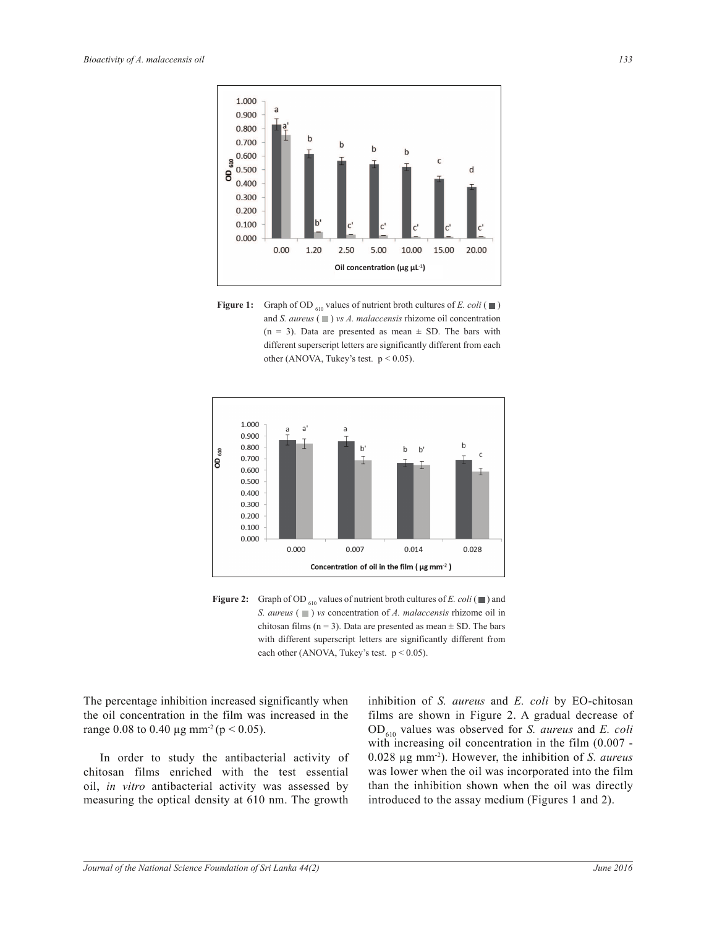

**Figure 1:** Graph of OD  $_{610}$  values of nutrient broth cultures of *E. coli* ( $\blacksquare$ ) and *S. aureus* ( $\Box$ ) *vs A. malaccensis* rhizome oil concentration  $(n = 3)$ . Data are presented as mean  $\pm$  SD. The bars with different superscript letters are significantly different from each other (ANOVA, Tukey's test.  $p < 0.05$ ).



**Figure 2:** Graph of OD  $_{610}$  values of nutrient broth cultures of *E. coli* ( $\Box$ ) and *S. aureus* ( $\Box$ ) *vs* concentration of *A. malaccensis* rhizome oil in chitosan films ( $n = 3$ ). Data are presented as mean  $\pm$  SD. The bars with different superscript letters are significantly different from each other (ANOVA, Tukey's test.  $p < 0.05$ ).

The percentage inhibition increased significantly when the oil concentration in the film was increased in the range 0.08 to 0.40  $\mu$ g mm<sup>-2</sup> (p < 0.05).

 In order to study the antibacterial activity of chitosan films enriched with the test essential oil, *in vitro* antibacterial activity was assessed by measuring the optical density at 610 nm. The growth

inhibition of *S. aureus* and *E. coli* by EO-chitosan films are shown in Figure 2. A gradual decrease of OD610 values was observed for *S. aureus* and *E. coli* with increasing oil concentration in the film (0.007 - 0.028 µg mm-2). However, the inhibition of *S. aureus* was lower when the oil was incorporated into the film than the inhibition shown when the oil was directly introduced to the assay medium (Figures 1 and 2).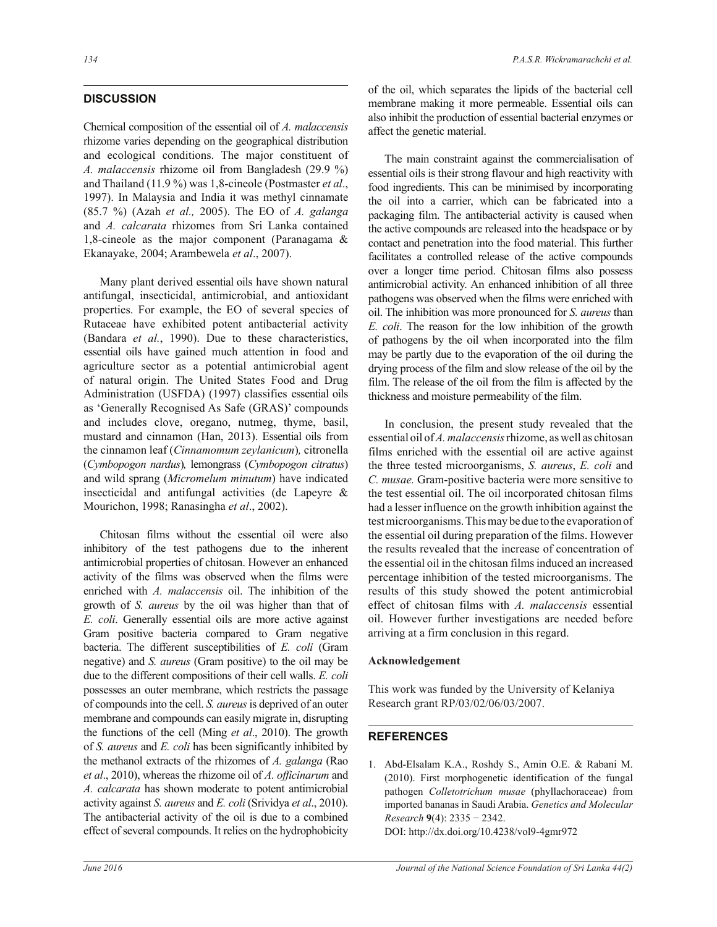## **DISCUSSION**

Chemical composition of the essential oil of *A. malaccensis*  rhizome varies depending on the geographical distribution and ecological conditions. The major constituent of *A. malaccensis* rhizome oil from Bangladesh (29.9 %) and Thailand (11.9 %) was 1,8-cineole (Postmaster *et al*., 1997). In Malaysia and India it was methyl cinnamate (85.7 %) (Azah *et al.,* 2005). The EO of *A. galanga*  and *A. calcarata* rhizomes from Sri Lanka contained 1,8-cineole as the major component (Paranagama & Ekanayake, 2004; Arambewela *et al*., 2007).

 Many plant derived essential oils have shown natural antifungal, insecticidal, antimicrobial, and antioxidant properties. For example, the EO of several species of Rutaceae have exhibited potent antibacterial activity (Bandara *et al.*, 1990). Due to these characteristics, essential oils have gained much attention in food and agriculture sector as a potential antimicrobial agent of natural origin. The United States Food and Drug Administration (USFDA) (1997) classifies essential oils as 'Generally Recognised As Safe (GRAS)' compounds and includes clove, oregano, nutmeg, thyme, basil, mustard and cinnamon (Han, 2013). Essential oils from the cinnamon leaf (*Cinnamomum zeylanicum*)*,* citronella (*Cymbopogon nardus*)*,* lemongrass (*Cymbopogon citratus*) and wild sprang (*Micromelum minutum*) have indicated insecticidal and antifungal activities (de Lapeyre & Mourichon, 1998; Ranasingha *et al*., 2002).

 Chitosan films without the essential oil were also inhibitory of the test pathogens due to the inherent antimicrobial properties of chitosan. However an enhanced activity of the films was observed when the films were enriched with *A. malaccensis* oil. The inhibition of the growth of *S. aureus* by the oil was higher than that of *E. coli*. Generally essential oils are more active against Gram positive bacteria compared to Gram negative bacteria. The different susceptibilities of *E. coli* (Gram negative) and *S. aureus* (Gram positive) to the oil may be due to the different compositions of their cell walls. *E. coli* possesses an outer membrane, which restricts the passage of compounds into the cell. *S. aureus* is deprived of an outer membrane and compounds can easily migrate in, disrupting the functions of the cell (Ming *et al*., 2010). The growth of *S. aureus* and *E. coli* has been significantly inhibited by the methanol extracts of the rhizomes of *A. galanga* (Rao *et al*., 2010), whereas the rhizome oil of *A. officinarum* and *A. calcarata* has shown moderate to potent antimicrobial activity against *S. aureus* and *E. coli* (Srividya *et al*., 2010). The antibacterial activity of the oil is due to a combined effect of several compounds. It relies on the hydrophobicity

of the oil, which separates the lipids of the bacterial cell membrane making it more permeable. Essential oils can also inhibit the production of essential bacterial enzymes or affect the genetic material.

 The main constraint against the commercialisation of essential oils is their strong flavour and high reactivity with food ingredients. This can be minimised by incorporating the oil into a carrier, which can be fabricated into a packaging film. The antibacterial activity is caused when the active compounds are released into the headspace or by contact and penetration into the food material. This further facilitates a controlled release of the active compounds over a longer time period. Chitosan films also possess antimicrobial activity. An enhanced inhibition of all three pathogens was observed when the films were enriched with oil. The inhibition was more pronounced for *S. aureus* than *E. coli*. The reason for the low inhibition of the growth of pathogens by the oil when incorporated into the film may be partly due to the evaporation of the oil during the drying process of the film and slow release of the oil by the film. The release of the oil from the film is affected by the thickness and moisture permeability of the film.

 In conclusion, the present study revealed that the essential oil of *A. malaccensis* rhizome, as well as chitosan films enriched with the essential oil are active against the three tested microorganisms, *S. aureus*, *E. coli* and *C. musae.* Gram-positive bacteria were more sensitive to the test essential oil. The oil incorporated chitosan films had a lesser influence on the growth inhibition against the test microorganisms. This may be due to the evaporation of the essential oil during preparation of the films. However the results revealed that the increase of concentration of the essential oil in the chitosan films induced an increased percentage inhibition of the tested microorganisms. The results of this study showed the potent antimicrobial effect of chitosan films with *A. malaccensis* essential oil. However further investigations are needed before arriving at a firm conclusion in this regard.

#### **Acknowledgement**

This work was funded by the University of Kelaniya Research grant RP/03/02/06/03/2007.

## **REFERENCES**

1. Abd-Elsalam K.A., Roshdy S., Amin O.E. & Rabani M. (2010). First morphogenetic identification of the fungal pathogen *Colletotrichum musae* (phyllachoraceae) from imported bananas in Saudi Arabia. *Genetics and Molecular Research* **9**(4): 2335 − 2342. DOI: http://dx.doi.org/10.4238/vol9-4gmr972